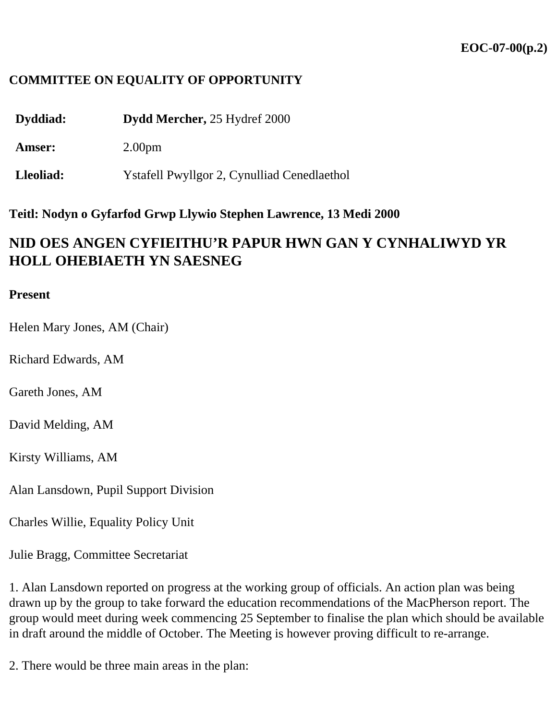## **COMMITTEE ON EQUALITY OF OPPORTUNITY**

**Dyddiad: Dydd Mercher,** 25 Hydref 2000

**Amser:** 2.00pm

**Lleoliad:** Ystafell Pwyllgor 2, Cynulliad Cenedlaethol

**Teitl: Nodyn o Gyfarfod Grwp Llywio Stephen Lawrence, 13 Medi 2000**

## **NID OES ANGEN CYFIEITHU'R PAPUR HWN GAN Y CYNHALIWYD YR HOLL OHEBIAETH YN SAESNEG**

## **Present**

Helen Mary Jones, AM (Chair)

Richard Edwards, AM

Gareth Jones, AM

David Melding, AM

Kirsty Williams, AM

Alan Lansdown, Pupil Support Division

Charles Willie, Equality Policy Unit

Julie Bragg, Committee Secretariat

1. Alan Lansdown reported on progress at the working group of officials. An action plan was being drawn up by the group to take forward the education recommendations of the MacPherson report. The group would meet during week commencing 25 September to finalise the plan which should be available in draft around the middle of October. The Meeting is however proving difficult to re-arrange.

2. There would be three main areas in the plan: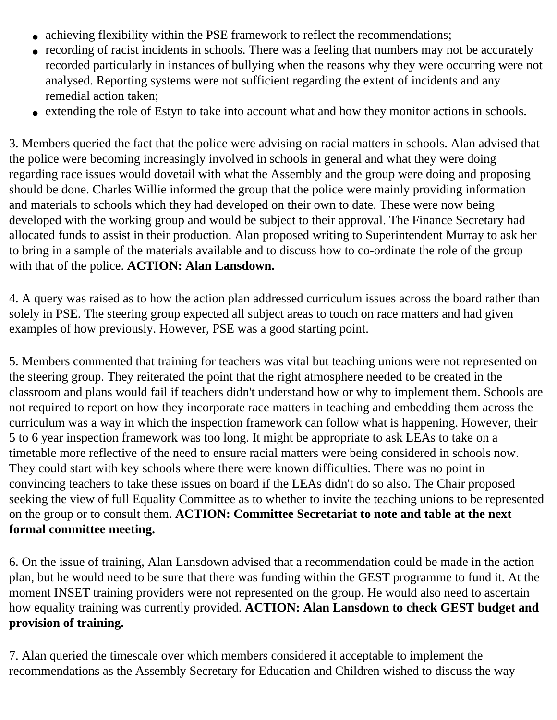- achieving flexibility within the PSE framework to reflect the recommendations;
- recording of racist incidents in schools. There was a feeling that numbers may not be accurately recorded particularly in instances of bullying when the reasons why they were occurring were not analysed. Reporting systems were not sufficient regarding the extent of incidents and any remedial action taken;
- extending the role of Estyn to take into account what and how they monitor actions in schools.

3. Members queried the fact that the police were advising on racial matters in schools. Alan advised that the police were becoming increasingly involved in schools in general and what they were doing regarding race issues would dovetail with what the Assembly and the group were doing and proposing should be done. Charles Willie informed the group that the police were mainly providing information and materials to schools which they had developed on their own to date. These were now being developed with the working group and would be subject to their approval. The Finance Secretary had allocated funds to assist in their production. Alan proposed writing to Superintendent Murray to ask her to bring in a sample of the materials available and to discuss how to co-ordinate the role of the group with that of the police. **ACTION: Alan Lansdown.**

4. A query was raised as to how the action plan addressed curriculum issues across the board rather than solely in PSE. The steering group expected all subject areas to touch on race matters and had given examples of how previously. However, PSE was a good starting point.

5. Members commented that training for teachers was vital but teaching unions were not represented on the steering group. They reiterated the point that the right atmosphere needed to be created in the classroom and plans would fail if teachers didn't understand how or why to implement them. Schools are not required to report on how they incorporate race matters in teaching and embedding them across the curriculum was a way in which the inspection framework can follow what is happening. However, their 5 to 6 year inspection framework was too long. It might be appropriate to ask LEAs to take on a timetable more reflective of the need to ensure racial matters were being considered in schools now. They could start with key schools where there were known difficulties. There was no point in convincing teachers to take these issues on board if the LEAs didn't do so also. The Chair proposed seeking the view of full Equality Committee as to whether to invite the teaching unions to be represented on the group or to consult them. **ACTION: Committee Secretariat to note and table at the next formal committee meeting.** 

6. On the issue of training, Alan Lansdown advised that a recommendation could be made in the action plan, but he would need to be sure that there was funding within the GEST programme to fund it. At the moment INSET training providers were not represented on the group. He would also need to ascertain how equality training was currently provided. **ACTION: Alan Lansdown to check GEST budget and provision of training.** 

7. Alan queried the timescale over which members considered it acceptable to implement the recommendations as the Assembly Secretary for Education and Children wished to discuss the way